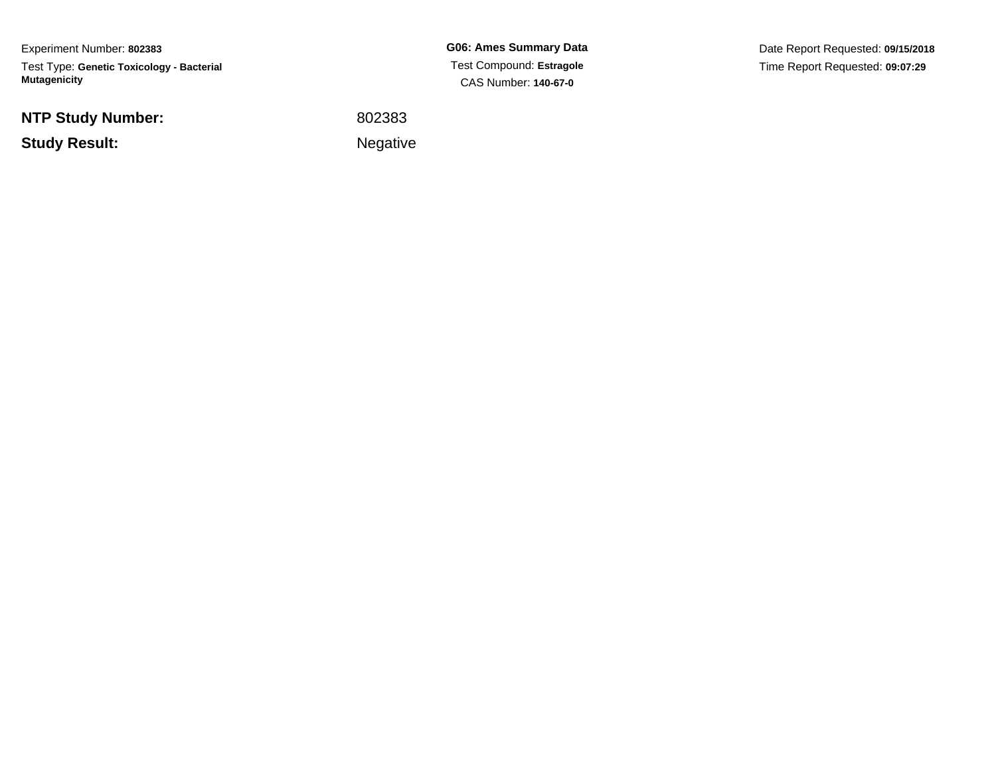Experiment Number: **802383**Test Type: **Genetic Toxicology - Bacterial Mutagenicity**

**NTP Study Number:**

**Study Result:**

**G06: Ames Summary Data** Test Compound: **Estragole**CAS Number: **140-67-0**

Date Report Requested: **09/15/2018**Time Report Requested: **09:07:29**

 <sup>802383</sup>Negative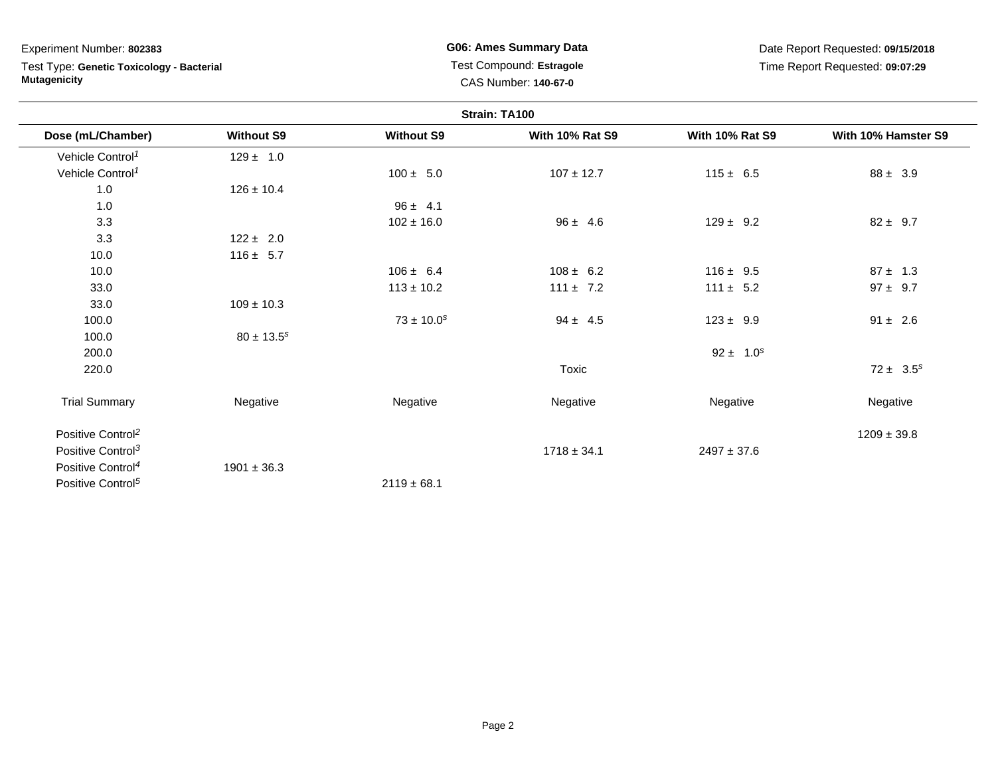Test Type: **Genetic Toxicology - Bacterial Mutagenicity**

**G06: Ames Summary Data** Test Compound: **Estragole**CAS Number: **140-67-0**

|                               |                   |                   | Strain: TA100          |                        |                     |
|-------------------------------|-------------------|-------------------|------------------------|------------------------|---------------------|
| Dose (mL/Chamber)             | <b>Without S9</b> | <b>Without S9</b> | <b>With 10% Rat S9</b> | <b>With 10% Rat S9</b> | With 10% Hamster S9 |
| Vehicle Control <sup>1</sup>  | $129 \pm 1.0$     |                   |                        |                        |                     |
| Vehicle Control <sup>1</sup>  |                   | $100 \pm 5.0$     | $107 \pm 12.7$         | $115 \pm 6.5$          | $88 \pm 3.9$        |
| 1.0                           | $126 \pm 10.4$    |                   |                        |                        |                     |
| 1.0                           |                   | $96 \pm 4.1$      |                        |                        |                     |
| 3.3                           |                   | $102 \pm 16.0$    | $96 \pm 4.6$           | $129 \pm 9.2$          | $82 \pm 9.7$        |
| 3.3                           | $122 \pm 2.0$     |                   |                        |                        |                     |
| 10.0                          | $116 \pm 5.7$     |                   |                        |                        |                     |
| 10.0                          |                   | $106 \pm 6.4$     | $108 \pm 6.2$          | $116 \pm 9.5$          | $87 \pm 1.3$        |
| 33.0                          |                   | $113 \pm 10.2$    | $111 \pm 7.2$          | $111 \pm 5.2$          | $97 \pm 9.7$        |
| 33.0                          | $109 \pm 10.3$    |                   |                        |                        |                     |
| 100.0                         |                   | $73 \pm 10.0^s$   | $94 \pm 4.5$           | $123 \pm 9.9$          | $91 \pm 2.6$        |
| 100.0                         | $80 \pm 13.5^s$   |                   |                        |                        |                     |
| 200.0                         |                   |                   |                        | $92 \pm 1.0^s$         |                     |
| 220.0                         |                   |                   | Toxic                  |                        | $72 \pm 3.5^s$      |
| <b>Trial Summary</b>          | Negative          | Negative          | Negative               | Negative               | Negative            |
| Positive Control <sup>2</sup> |                   |                   |                        |                        | $1209 \pm 39.8$     |
| Positive Control <sup>3</sup> |                   |                   | $1718 \pm 34.1$        | $2497 \pm 37.6$        |                     |
| Positive Control <sup>4</sup> | $1901 \pm 36.3$   |                   |                        |                        |                     |
| Positive Control <sup>5</sup> |                   | $2119 \pm 68.1$   |                        |                        |                     |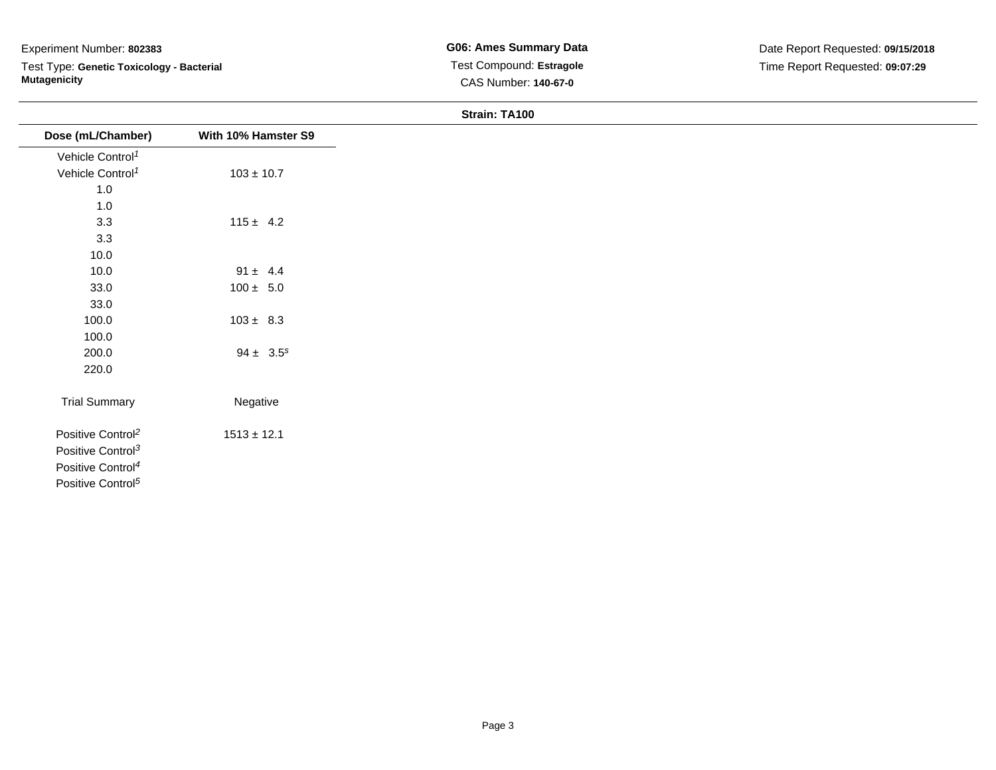Test Type: **Genetic Toxicology - Bacterial Mutagenicity**

| Dose (mL/Chamber)             | With 10% Hamster S9 |
|-------------------------------|---------------------|
| Vehicle Control <sup>1</sup>  |                     |
| Vehicle Control <sup>1</sup>  | $103 \pm 10.7$      |
| $1.0$                         |                     |
| 1.0                           |                     |
| 3.3                           | $115 \pm 4.2$       |
| 3.3                           |                     |
| 10.0                          |                     |
| 10.0                          | $91 \pm 4.4$        |
| 33.0                          | $100 \pm 5.0$       |
| 33.0                          |                     |
| 100.0                         | $103 \pm 8.3$       |
| 100.0                         |                     |
| 200.0                         | $94 \pm 3.5^s$      |
| 220.0                         |                     |
| <b>Trial Summary</b>          | Negative            |
| Positive Control <sup>2</sup> | $1513 \pm 12.1$     |
| Positive Control <sup>3</sup> |                     |
| Positive Control <sup>4</sup> |                     |
| Positive Control <sup>5</sup> |                     |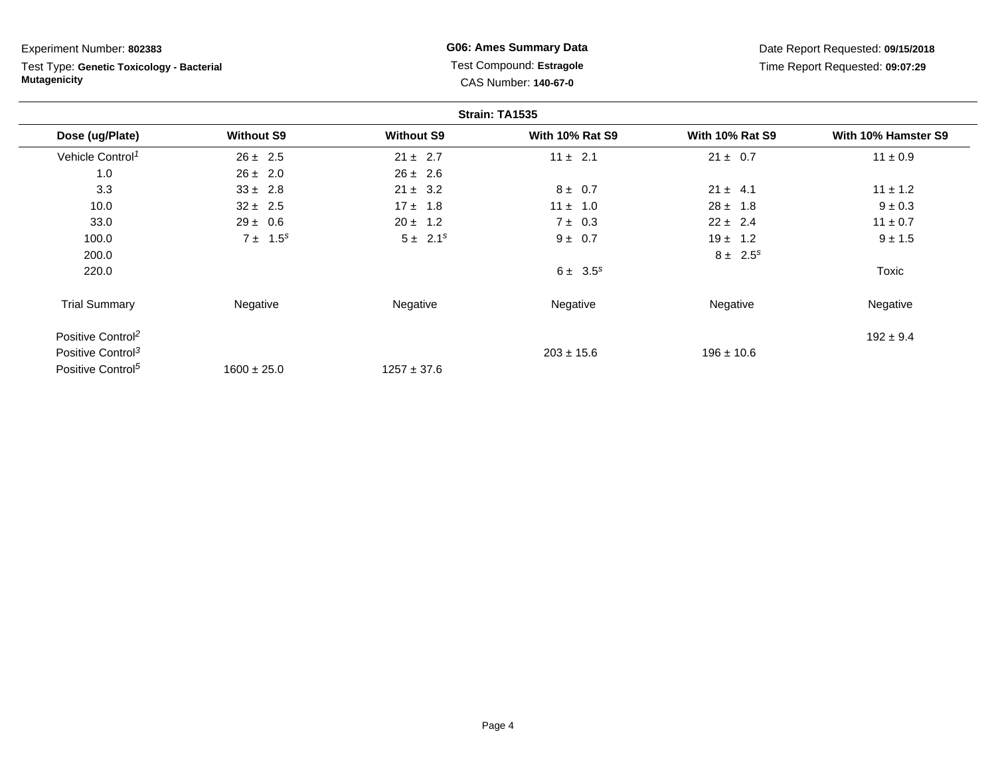Test Type: **Genetic Toxicology - Bacterial Mutagenicity**

**G06: Ames Summary Data** Test Compound: **Estragole**CAS Number: **140-67-0**

|                               |                   |                   | Strain: TA1535         |                        |                     |
|-------------------------------|-------------------|-------------------|------------------------|------------------------|---------------------|
| Dose (ug/Plate)               | <b>Without S9</b> | <b>Without S9</b> | <b>With 10% Rat S9</b> | <b>With 10% Rat S9</b> | With 10% Hamster S9 |
| Vehicle Control <sup>1</sup>  | $26 \pm 2.5$      | $21 \pm 2.7$      | $11 \pm 2.1$           | $21 \pm 0.7$           | $11 \pm 0.9$        |
| 1.0                           | $26 \pm 2.0$      | $26 \pm 2.6$      |                        |                        |                     |
| 3.3                           | $33 \pm 2.8$      | $21 \pm 3.2$      | $8 \pm 0.7$            | $21 \pm 4.1$           | $11 \pm 1.2$        |
| 10.0                          | $32 \pm 2.5$      | $17 \pm 1.8$      | $11 \pm 1.0$           | $28 \pm 1.8$           | $9 \pm 0.3$         |
| 33.0                          | $29 \pm 0.6$      | $20 \pm 1.2$      | $7 \pm 0.3$            | $22 \pm 2.4$           | $11 \pm 0.7$        |
| 100.0                         | $7 \pm 1.5^s$     | $5 \pm 2.1^s$     | $9 \pm 0.7$            | $19 \pm 1.2$           | $9 \pm 1.5$         |
| 200.0                         |                   |                   |                        | $8 \pm 2.5^s$          |                     |
| 220.0                         |                   |                   | $6 \pm 3.5^s$          |                        | Toxic               |
| <b>Trial Summary</b>          | Negative          | Negative          | Negative               | Negative               | Negative            |
| Positive Control <sup>2</sup> |                   |                   |                        |                        | $192 \pm 9.4$       |
| Positive Control <sup>3</sup> |                   |                   | $203 \pm 15.6$         | $196 \pm 10.6$         |                     |
| Positive Control <sup>5</sup> | $1600 \pm 25.0$   | $1257 \pm 37.6$   |                        |                        |                     |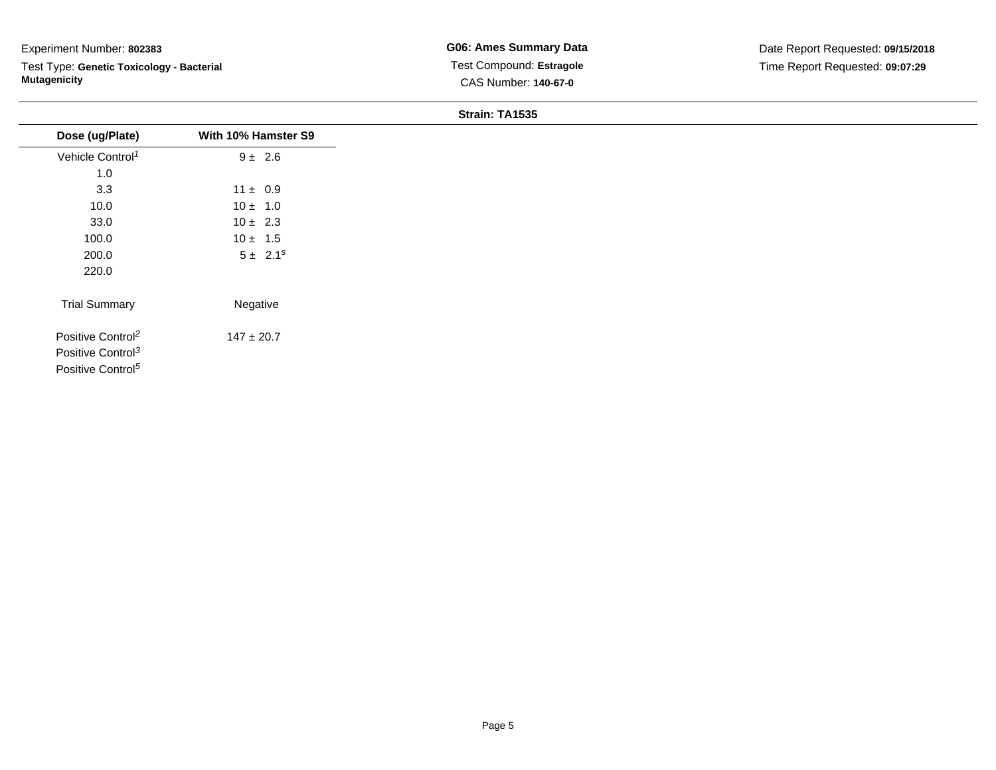Test Type: **Genetic Toxicology - Bacterial Mutagenicity**

| Dose (ug/Plate)               | With 10% Hamster S9 |
|-------------------------------|---------------------|
| Vehicle Control <sup>1</sup>  | $9 \pm 2.6$         |
| 1.0                           |                     |
| 3.3                           | $11 \pm 0.9$        |
| 10.0                          | $10 \pm 1.0$        |
| 33.0                          | $10 \pm 2.3$        |
| 100.0                         | $10 \pm 1.5$        |
| 200.0                         | $5 \pm 2.1^s$       |
| 220.0                         |                     |
| <b>Trial Summary</b>          | Negative            |
| Positive Control <sup>2</sup> | $147 \pm 20.7$      |
| Positive Control <sup>3</sup> |                     |
| Positive Control <sup>5</sup> |                     |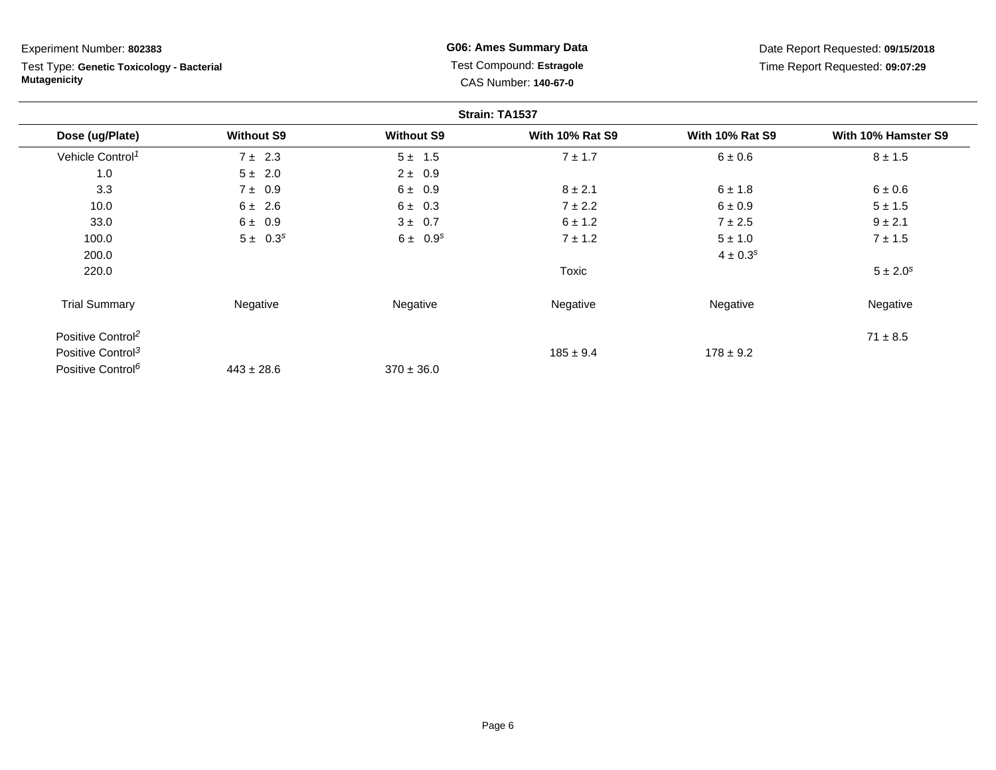Test Type: **Genetic Toxicology - Bacterial Mutagenicity**

**G06: Ames Summary Data** Test Compound: **Estragole**CAS Number: **140-67-0**

|                               |                   |                   | Strain: TA1537         |                        |                     |
|-------------------------------|-------------------|-------------------|------------------------|------------------------|---------------------|
| Dose (ug/Plate)               | <b>Without S9</b> | <b>Without S9</b> | <b>With 10% Rat S9</b> | <b>With 10% Rat S9</b> | With 10% Hamster S9 |
| Vehicle Control <sup>1</sup>  | $7 \pm 2.3$       | $5 \pm 1.5$       | $7 \pm 1.7$            | 6 ± 0.6                | $8 \pm 1.5$         |
| 1.0                           | $5 \pm 2.0$       | $2 \pm 0.9$       |                        |                        |                     |
| 3.3                           | $7 \pm 0.9$       | 6 ± 0.9           | $8 \pm 2.1$            | $6 \pm 1.8$            | 6 ± 0.6             |
| 10.0                          | $6 \pm 2.6$       | $6 \pm 0.3$       | $7 \pm 2.2$            | 6 ± 0.9                | $5 \pm 1.5$         |
| 33.0                          | 6 ± 0.9           | $3 \pm 0.7$       | $6 \pm 1.2$            | $7 \pm 2.5$            | $9 \pm 2.1$         |
| 100.0                         | $5 \pm 0.3^s$     | $6 \pm 0.9^s$     | $7 \pm 1.2$            | $5 \pm 1.0$            | $7 \pm 1.5$         |
| 200.0                         |                   |                   |                        | $4 \pm 0.3^{s}$        |                     |
| 220.0                         |                   |                   | Toxic                  |                        | $5 \pm 2.0^s$       |
| <b>Trial Summary</b>          | Negative          | Negative          | Negative               | Negative               | Negative            |
| Positive Control <sup>2</sup> |                   |                   |                        |                        | $71 \pm 8.5$        |
| Positive Control <sup>3</sup> |                   |                   | $185 \pm 9.4$          | $178 \pm 9.2$          |                     |
| Positive Control <sup>6</sup> | $443 \pm 28.6$    | $370 \pm 36.0$    |                        |                        |                     |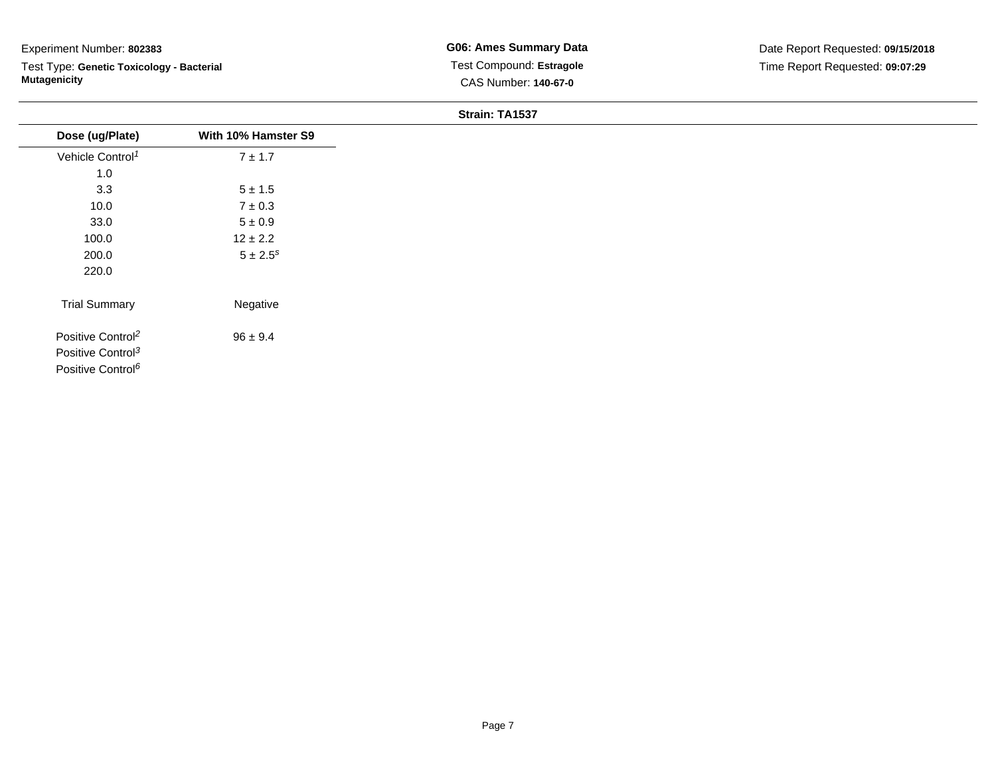Test Type: **Genetic Toxicology - Bacterial Mutagenicity**

|                               |                          | O(10111.1A1J) |
|-------------------------------|--------------------------|---------------|
| Dose (ug/Plate)               | With 10% Hamster S9      |               |
| Vehicle Control <sup>1</sup>  | $7 \pm 1.7$              |               |
| 1.0                           |                          |               |
| 3.3                           | $5\pm1.5$                |               |
| 10.0                          | $7\pm0.3$                |               |
| 33.0                          | $5\pm0.9$                |               |
| 100.0                         | $12 \pm 2.2$             |               |
| 200.0                         | $5 \pm 2.5$ <sup>s</sup> |               |
| 220.0                         |                          |               |
| <b>Trial Summary</b>          | Negative                 |               |
| Positive Control <sup>2</sup> | $96 \pm 9.4$             |               |
| Positive Control <sup>3</sup> |                          |               |
| Positive Control <sup>6</sup> |                          |               |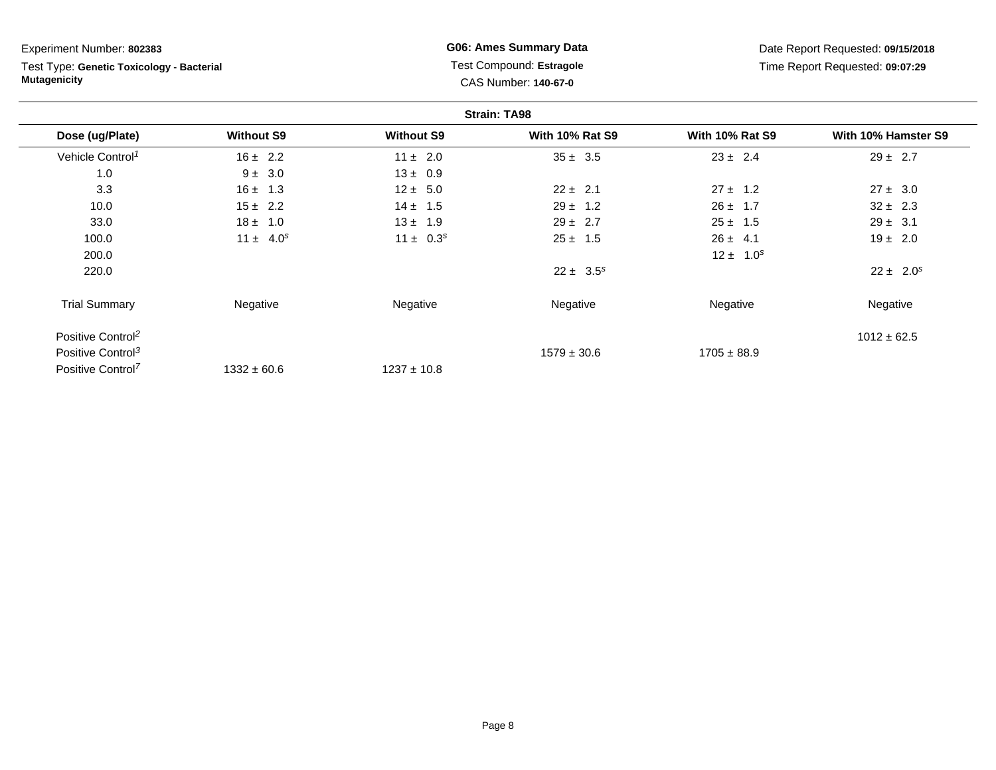Test Type: **Genetic Toxicology - Bacterial Mutagenicity**

**G06: Ames Summary Data** Test Compound: **Estragole**CAS Number: **140-67-0**

|                               |                   |                   | <b>Strain: TA98</b>    |                        |                     |
|-------------------------------|-------------------|-------------------|------------------------|------------------------|---------------------|
| Dose (ug/Plate)               | <b>Without S9</b> | <b>Without S9</b> | <b>With 10% Rat S9</b> | <b>With 10% Rat S9</b> | With 10% Hamster S9 |
| Vehicle Control <sup>1</sup>  | $16 \pm 2.2$      | $11 \pm 2.0$      | $35 \pm 3.5$           | $23 \pm 2.4$           | $29 \pm 2.7$        |
| 1.0                           | $9 \pm 3.0$       | $13 \pm 0.9$      |                        |                        |                     |
| 3.3                           | $16 \pm 1.3$      | $12 \pm 5.0$      | $22 \pm 2.1$           | $27 \pm 1.2$           | $27 \pm 3.0$        |
| 10.0                          | $15 \pm 2.2$      | $14 \pm 1.5$      | $29 \pm 1.2$           | $26 \pm 1.7$           | $32 \pm 2.3$        |
| 33.0                          | $18 \pm 1.0$      | $13 \pm 1.9$      | $29 \pm 2.7$           | $25 \pm 1.5$           | $29 \pm 3.1$        |
| 100.0                         | $11 \pm 4.0^s$    | $11 \pm 0.3^s$    | $25 \pm 1.5$           | $26 \pm 4.1$           | $19 \pm 2.0$        |
| 200.0                         |                   |                   |                        | $12 \pm 1.0^s$         |                     |
| 220.0                         |                   |                   | $22 \pm 3.5^s$         |                        | $22 \pm 2.0^s$      |
| <b>Trial Summary</b>          | Negative          | Negative          | Negative               | Negative               | Negative            |
| Positive Control <sup>2</sup> |                   |                   |                        |                        | $1012 \pm 62.5$     |
| Positive Control <sup>3</sup> |                   |                   | $1579 \pm 30.6$        | $1705 \pm 88.9$        |                     |
| Positive Control <sup>7</sup> | $1332 \pm 60.6$   | $1237 \pm 10.8$   |                        |                        |                     |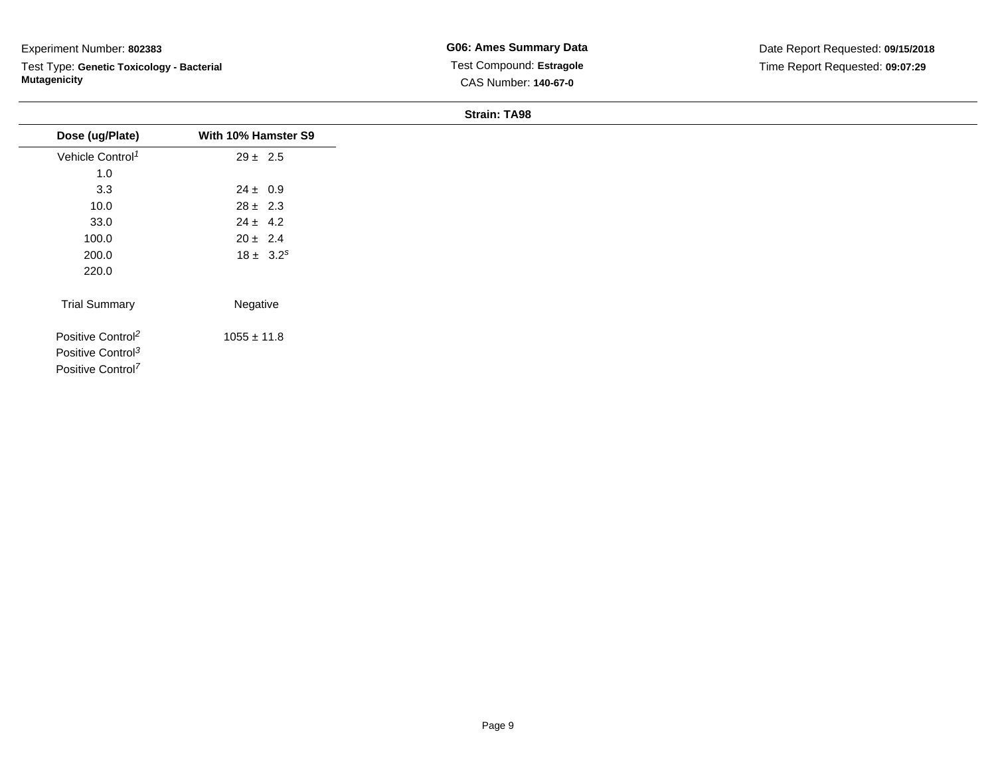Test Type: **Genetic Toxicology - Bacterial Mutagenicity**

**G06: Ames Summary Data** Test Compound: **Estragole**CAS Number: **140-67-0**

| Dose (ug/Plate)               | With 10% Hamster S9 |
|-------------------------------|---------------------|
| Vehicle Control <sup>1</sup>  | $29 \pm 2.5$        |
| 1.0                           |                     |
| 3.3                           | $24 \pm 0.9$        |
| 10.0                          | $28 \pm 2.3$        |
| 33.0                          | $24 \pm 4.2$        |
| 100.0                         | $20 \pm 2.4$        |
| 200.0                         | $18 \pm 3.2^s$      |
| 220.0                         |                     |
| <b>Trial Summary</b>          | Negative            |
| Positive Control <sup>2</sup> | $1055 \pm 11.8$     |
| Positive Control <sup>3</sup> |                     |
| Positive Control <sup>7</sup> |                     |
|                               |                     |